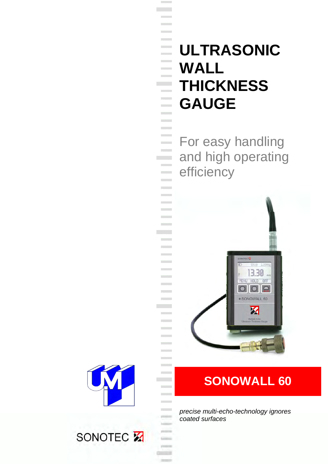#### **ULTRASONIC Contract WALL**   $\mathcal{L}_{\text{max}}$  and  $\mathcal{L}_{\text{max}}$ **THICKNESS**  <u> Timbung Ka</u> **GAUGE**   $\sim$

**State State Contract Contract**  $\mathcal{L}_{\text{max}}$ 

**Contract Contract** 

**College** 

**Contract** 

**Contract Contract**  $\sim$   $\sim$ **Contract**  $\sim$ **All College**  $\mathcal{L}(\mathcal{L}(\mathcal{L}))$ **Contract** 

**College** 

 $\mathcal{L}^{\text{max}}$ planners. **Links** 

Gines **STATE**  $0 - 1$  $-1$  For easy handling and high operating efficiency



## **SONOWALL 60**

*precise multi-echo-technology ignores coated surfaces*



# SONOTEC<sup>E</sup>